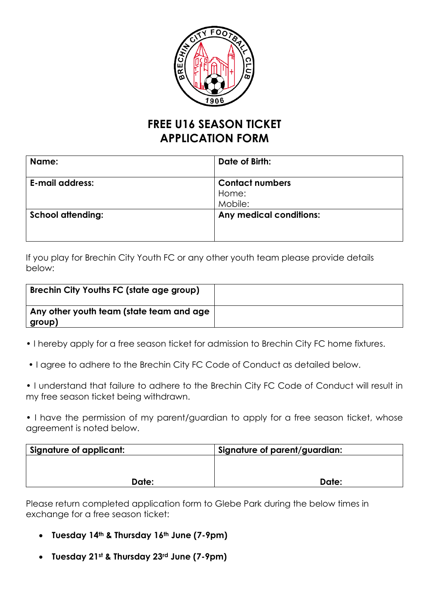

## **FREE U16 SEASON TICKET APPLICATION FORM**

| Name:                    | Date of Birth:          |
|--------------------------|-------------------------|
| <b>E-mail address:</b>   | <b>Contact numbers</b>  |
|                          | Home:                   |
|                          | Mobile:                 |
| <b>School attending:</b> | Any medical conditions: |
|                          |                         |
|                          |                         |

If you play for Brechin City Youth FC or any other youth team please provide details below:

| <b>Brechin City Youths FC (state age group)</b>                     |  |
|---------------------------------------------------------------------|--|
| $\overline{ }$ Any other youth team (state team and age<br>∣ group) |  |

- I hereby apply for a free season ticket for admission to Brechin City FC home fixtures.
- I agree to adhere to the Brechin City FC Code of Conduct as detailed below.
- I understand that failure to adhere to the Brechin City FC Code of Conduct will result in my free season ticket being withdrawn.

• I have the permission of my parent/guardian to apply for a free season ticket, whose agreement is noted below.

| Signature of applicant: | Signature of parent/guardian: |
|-------------------------|-------------------------------|
|                         |                               |
|                         |                               |
| Date:                   | Date:                         |

Please return completed application form to Glebe Park during the below times in exchange for a free season ticket:

- **Tuesday 14th & Thursday 16th June (7-9pm)**
- **Tuesday 21st & Thursday 23rd June (7-9pm)**